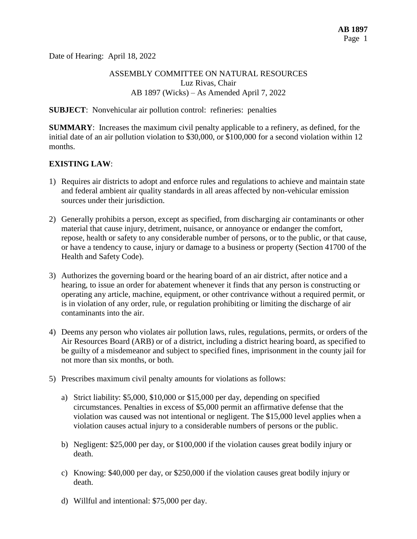Date of Hearing: April 18, 2022

#### ASSEMBLY COMMITTEE ON NATURAL RESOURCES Luz Rivas, Chair AB 1897 (Wicks) – As Amended April 7, 2022

#### **SUBJECT**: Nonvehicular air pollution control: refineries: penalties

**SUMMARY**: Increases the maximum civil penalty applicable to a refinery, as defined, for the initial date of an air pollution violation to \$30,000, or \$100,000 for a second violation within 12 months.

#### **EXISTING LAW**:

- 1) Requires air districts to adopt and enforce rules and regulations to achieve and maintain state and federal ambient air quality standards in all areas affected by non-vehicular emission sources under their jurisdiction.
- 2) Generally prohibits a person, except as specified, from discharging air contaminants or other material that cause injury, detriment, nuisance, or annoyance or endanger the comfort, repose, health or safety to any considerable number of persons, or to the public, or that cause, or have a tendency to cause, injury or damage to a business or property (Section 41700 of the Health and Safety Code).
- 3) Authorizes the governing board or the hearing board of an air district, after notice and a hearing, to issue an order for abatement whenever it finds that any person is constructing or operating any article, machine, equipment, or other contrivance without a required permit, or is in violation of any order, rule, or regulation prohibiting or limiting the discharge of air contaminants into the air.
- 4) Deems any person who violates air pollution laws, rules, regulations, permits, or orders of the Air Resources Board (ARB) or of a district, including a district hearing board, as specified to be guilty of a misdemeanor and subject to specified fines, imprisonment in the county jail for not more than six months, or both.
- 5) Prescribes maximum civil penalty amounts for violations as follows:
	- a) Strict liability: \$5,000, \$10,000 or \$15,000 per day, depending on specified circumstances. Penalties in excess of \$5,000 permit an affirmative defense that the violation was caused was not intentional or negligent. The \$15,000 level applies when a violation causes actual injury to a considerable numbers of persons or the public.
	- b) Negligent: \$25,000 per day, or \$100,000 if the violation causes great bodily injury or death.
	- c) Knowing: \$40,000 per day, or \$250,000 if the violation causes great bodily injury or death.
	- d) Willful and intentional: \$75,000 per day.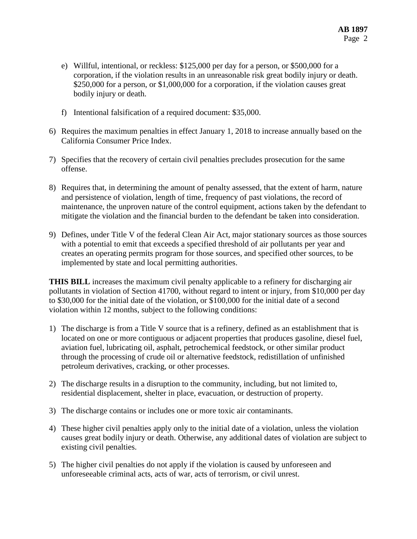- e) Willful, intentional, or reckless: \$125,000 per day for a person, or \$500,000 for a corporation, if the violation results in an unreasonable risk great bodily injury or death. \$250,000 for a person, or \$1,000,000 for a corporation, if the violation causes great bodily injury or death.
- f) Intentional falsification of a required document: \$35,000.
- 6) Requires the maximum penalties in effect January 1, 2018 to increase annually based on the California Consumer Price Index.
- 7) Specifies that the recovery of certain civil penalties precludes prosecution for the same offense.
- 8) Requires that, in determining the amount of penalty assessed, that the extent of harm, nature and persistence of violation, length of time, frequency of past violations, the record of maintenance, the unproven nature of the control equipment, actions taken by the defendant to mitigate the violation and the financial burden to the defendant be taken into consideration.
- 9) Defines, under Title V of the federal Clean Air Act, major stationary sources as those sources with a potential to emit that exceeds a specified threshold of air pollutants per year and creates an operating permits program for those sources, and specified other sources, to be implemented by state and local permitting authorities.

**THIS BILL** increases the maximum civil penalty applicable to a refinery for discharging air pollutants in violation of Section 41700, without regard to intent or injury, from \$10,000 per day to \$30,000 for the initial date of the violation, or \$100,000 for the initial date of a second violation within 12 months, subject to the following conditions:

- 1) The discharge is from a Title V source that is a refinery, defined as an establishment that is located on one or more contiguous or adjacent properties that produces gasoline, diesel fuel, aviation fuel, lubricating oil, asphalt, petrochemical feedstock, or other similar product through the processing of crude oil or alternative feedstock, redistillation of unfinished petroleum derivatives, cracking, or other processes.
- 2) The discharge results in a disruption to the community, including, but not limited to, residential displacement, shelter in place, evacuation, or destruction of property.
- 3) The discharge contains or includes one or more toxic air contaminants.
- 4) These higher civil penalties apply only to the initial date of a violation, unless the violation causes great bodily injury or death. Otherwise, any additional dates of violation are subject to existing civil penalties.
- 5) The higher civil penalties do not apply if the violation is caused by unforeseen and unforeseeable criminal acts, acts of war, acts of terrorism, or civil unrest.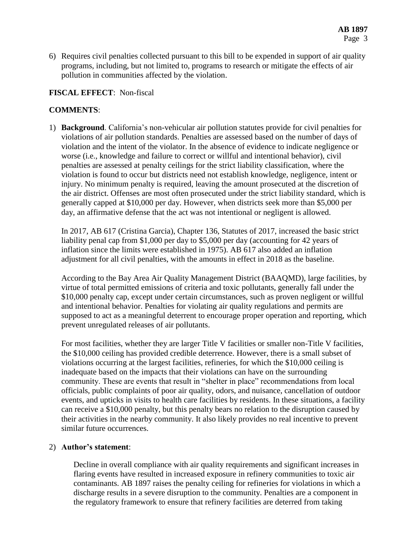6) Requires civil penalties collected pursuant to this bill to be expended in support of air quality programs, including, but not limited to, programs to research or mitigate the effects of air pollution in communities affected by the violation.

# **FISCAL EFFECT**: Non-fiscal

## **COMMENTS**:

1) **Background**. California's non-vehicular air pollution statutes provide for civil penalties for violations of air pollution standards. Penalties are assessed based on the number of days of violation and the intent of the violator. In the absence of evidence to indicate negligence or worse (i.e., knowledge and failure to correct or willful and intentional behavior), civil penalties are assessed at penalty ceilings for the strict liability classification, where the violation is found to occur but districts need not establish knowledge, negligence, intent or injury. No minimum penalty is required, leaving the amount prosecuted at the discretion of the air district. Offenses are most often prosecuted under the strict liability standard, which is generally capped at \$10,000 per day. However, when districts seek more than \$5,000 per day, an affirmative defense that the act was not intentional or negligent is allowed.

In 2017, AB 617 (Cristina Garcia), Chapter 136, Statutes of 2017, increased the basic strict liability penal cap from \$1,000 per day to \$5,000 per day (accounting for 42 years of inflation since the limits were established in 1975). AB 617 also added an inflation adjustment for all civil penalties, with the amounts in effect in 2018 as the baseline.

According to the Bay Area Air Quality Management District (BAAQMD), large facilities, by virtue of total permitted emissions of criteria and toxic pollutants, generally fall under the \$10,000 penalty cap, except under certain circumstances, such as proven negligent or willful and intentional behavior. Penalties for violating air quality regulations and permits are supposed to act as a meaningful deterrent to encourage proper operation and reporting, which prevent unregulated releases of air pollutants.

For most facilities, whether they are larger Title V facilities or smaller non-Title V facilities, the \$10,000 ceiling has provided credible deterrence. However, there is a small subset of violations occurring at the largest facilities, refineries, for which the \$10,000 ceiling is inadequate based on the impacts that their violations can have on the surrounding community. These are events that result in "shelter in place" recommendations from local officials, public complaints of poor air quality, odors, and nuisance, cancellation of outdoor events, and upticks in visits to health care facilities by residents. In these situations, a facility can receive a \$10,000 penalty, but this penalty bears no relation to the disruption caused by their activities in the nearby community. It also likely provides no real incentive to prevent similar future occurrences.

### 2) **Author's statement**:

Decline in overall compliance with air quality requirements and significant increases in flaring events have resulted in increased exposure in refinery communities to toxic air contaminants. AB 1897 raises the penalty ceiling for refineries for violations in which a discharge results in a severe disruption to the community. Penalties are a component in the regulatory framework to ensure that refinery facilities are deterred from taking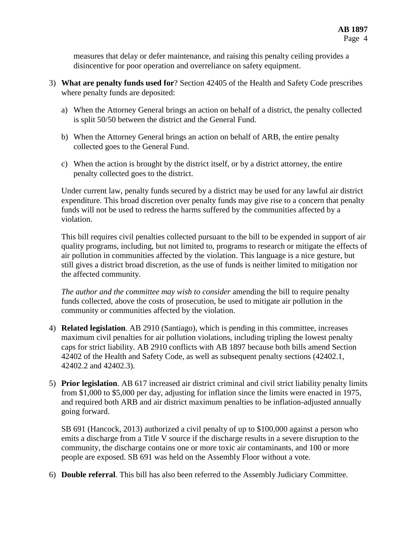measures that delay or defer maintenance, and raising this penalty ceiling provides a disincentive for poor operation and overreliance on safety equipment.

- 3) **What are penalty funds used for**? Section 42405 of the Health and Safety Code prescribes where penalty funds are deposited:
	- a) When the Attorney General brings an action on behalf of a district, the penalty collected is split 50/50 between the district and the General Fund.
	- b) When the Attorney General brings an action on behalf of ARB, the entire penalty collected goes to the General Fund.
	- c) When the action is brought by the district itself, or by a district attorney, the entire penalty collected goes to the district.

Under current law, penalty funds secured by a district may be used for any lawful air district expenditure. This broad discretion over penalty funds may give rise to a concern that penalty funds will not be used to redress the harms suffered by the communities affected by a violation.

This bill requires civil penalties collected pursuant to the bill to be expended in support of air quality programs, including, but not limited to, programs to research or mitigate the effects of air pollution in communities affected by the violation. This language is a nice gesture, but still gives a district broad discretion, as the use of funds is neither limited to mitigation nor the affected community.

*The author and the committee may wish to consider* amending the bill to require penalty funds collected, above the costs of prosecution, be used to mitigate air pollution in the community or communities affected by the violation.

- 4) **Related legislation**. AB 2910 (Santiago), which is pending in this committee, increases maximum civil penalties for air pollution violations, including tripling the lowest penalty caps for strict liability. AB 2910 conflicts with AB 1897 because both bills amend Section 42402 of the Health and Safety Code, as well as subsequent penalty sections (42402.1, 42402.2 and 42402.3).
- 5) **Prior legislation**. AB 617 increased air district criminal and civil strict liability penalty limits from \$1,000 to \$5,000 per day, adjusting for inflation since the limits were enacted in 1975, and required both ARB and air district maximum penalties to be inflation-adjusted annually going forward.

SB 691 (Hancock, 2013) authorized a civil penalty of up to \$100,000 against a person who emits a discharge from a Title V source if the discharge results in a severe disruption to the community, the discharge contains one or more toxic air contaminants, and 100 or more people are exposed. SB 691 was held on the Assembly Floor without a vote.

6) **Double referral**. This bill has also been referred to the Assembly Judiciary Committee.